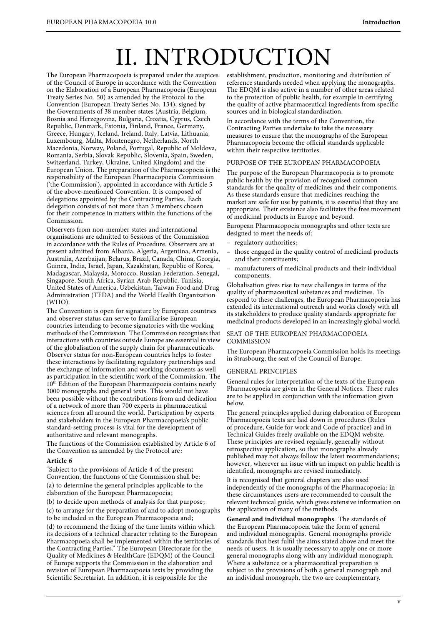# II. INTRODUCTION

The European Pharmacopoeia is prepared under the auspices of the Council of Europe in accordance with the Convention on the Elaboration of a European Pharmacopoeia (European Treaty Series No. 50) as amended by the Protocol to the Convention (European Treaty Series No. 134), signed by the Governments of 38 member states (Austria, Belgium, Bosnia and Herzegovina, Bulgaria, Croatia, Cyprus, Czech Republic, Denmark, Estonia, Finland, France, Germany, Greece, Hungary, Iceland, Ireland, Italy, Latvia, Lithuania, Luxembourg, Malta, Montenegro, Netherlands, North Macedonia, Norway, Poland, Portugal, Republic of Moldova, Romania, Serbia, Slovak Republic, Slovenia, Spain, Sweden, Switzerland, Turkey, Ukraine, United Kingdom) and the European Union. The preparation of the Pharmacopoeia is the responsibility of the European Pharmacopoeia Commission ('the Commission'), appointed in accordance with Article 5 of the above-mentioned Convention. It is composed of delegations appointed by the Contracting Parties. Each delegation consists of not more than 3 members chosen for their competence in matters within the functions of the Commission.

Observers from non-member states and international organisations are admitted to Sessions of the Commission in accordance with the Rules of Procedure. Observers are at present admitted from Albania, Algeria, Argentina, Armenia, Australia, Azerbaijan, Belarus, Brazil, Canada, China, Georgia, Guinea, India, Israel, Japan, Kazakhstan, Republic of Korea, Madagascar, Malaysia, Morocco, Russian Federation, Senegal, Singapore, South Africa, Syrian Arab Republic, Tunisia, United States of America, Uzbekistan, Taiwan Food and Drug Administration (TFDA) and the World Health Organization (WHO).

The Convention is open for signature by European countries and observer status can serve to familiarise European countries intending to become signatories with the working methods of the Commission. The Commission recognises that interactions with countries outside Europe are essential in view of the globalisation of the supply chain for pharmaceuticals. Observer status for non-European countries helps to foster these interactions by facilitating regulatory partnerships and the exchange of information and working documents as well as participation in the scientific work of the Commission. The 10<sup>th</sup> Edition of the European Pharmacopoeia contains nearly 3000 monographs and general texts. This would not have been possible without the contributions from and dedication of a network of more than 700 experts in pharmaceutical sciences from all around the world. Participation by experts and stakeholders in the European Pharmacopoeia's public standard-setting process is vital for the development of authoritative and relevant monographs.

The functions of the Commission established by Article 6 of the Convention as amended by the Protocol are:

#### **Article 6**

"Subject to the provisions of Article 4 of the present Convention, the functions of the Commission shall be: (a) to determine the general principles applicable to the elaboration of the European Pharmacopoeia;

(b) to decide upon methods of analysis for that purpose; (c) to arrange for the preparation of and to adopt monographs to be included in the European Pharmacopoeia and;

(d) to recommend the fixing of the time limits within which its decisions of a technical character relating to the European Pharmacopoeia shall be implemented within the territories of the Contracting Parties." The European Directorate for the Quality of Medicines & HealthCare (EDQM) of the Council of Europe supports the Commission in the elaboration and revision of European Pharmacopoeia texts by providing the Scientific Secretariat. In addition, it is responsible for the

establishment, production, monitoring and distribution of reference standards needed when applying the monographs. The EDQM is also active in a number of other areas related to the protection of public health, for example in certifying the quality of active pharmaceutical ingredients from specific sources and in biological standardisation.

In accordance with the terms of the Convention, the Contracting Parties undertake to take the necessary measures to ensure that the monographs of the European Pharmacopoeia become the official standards applicable within their respective territories.

#### PURPOSE OF THE EUROPEAN PHARMACOPOEIA

The purpose of the European Pharmacopoeia is to promote public health by the provision of recognised common standards for the quality of medicines and their components. As these standards ensure that medicines reaching the market are safe for use by patients, it is essential that they are appropriate. Their existence also facilitates the free movement of medicinal products in Europe and beyond.

European Pharmacopoeia monographs and other texts are designed to meet the needs of:

- regulatory authorities;
- those engaged in the quality control of medicinal products and their constituents;
- manufacturers of medicinal products and their individual components.

Globalisation gives rise to new challenges in terms of the quality of pharmaceutical substances and medicines. To respond to these challenges, the European Pharmacopoeia has extended its international outreach and works closely with all its stakeholders to produce quality standards appropriate for medicinal products developed in an increasingly global world.

### SEAT OF THE EUROPEAN PHARMACOPOEIA **COMMISSION**

The European Pharmacopoeia Commission holds its meetings in Strasbourg, the seat of the Council of Europe.

#### GENERAL PRINCIPLES

General rules for interpretation of the texts of the European Pharmacopoeia are given in the General Notices. These rules are to be applied in conjunction with the information given below.

The general principles applied during elaboration of European Pharmacopoeia texts are laid down in procedures (Rules of procedure, Guide for work and Code of practice) and in Technical Guides freely available on the EDQM website. These principles are revised regularly, generally without retrospective application, so that monographs already published may not always follow the latest recommendations; however, wherever an issue with an impact on public health is identified, monographs are revised immediately.

It is recognised that general chapters are also used independently of the monographs of the Pharmacopoeia; in these circumstances users are recommended to consult the relevant technical guide, which gives extensive information on the application of many of the methods.

**General and individual monographs**. The standards of the European Pharmacopoeia take the form of general and individual monographs. General monographs provide standards that best fulfil the aims stated above and meet the needs of users. It is usually necessary to apply one or more general monographs along with any individual monograph. Where a substance or a pharmaceutical preparation is subject to the provisions of both a general monograph and an individual monograph, the two are complementary.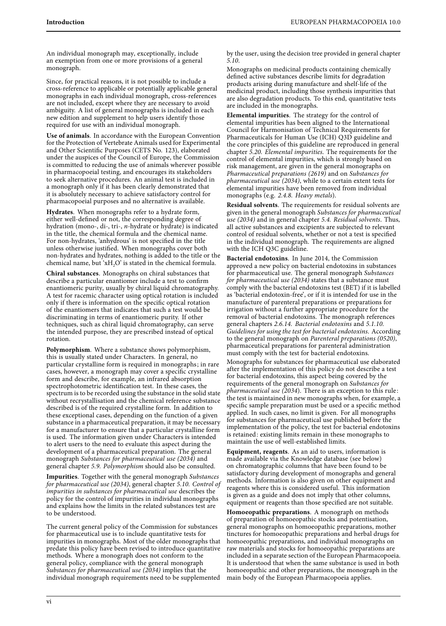An individual monograph may, exceptionally, include an exemption from one or more provisions of a general monograph.

Since, for practical reasons, it is not possible to include a cross-reference to applicable or potentially applicable general monographs in each individual monograph, cross-references are not included, except where they are necessary to avoid ambiguity. A list of general monographs is included in each new edition and supplement to help users identify those required for use with an individual monograph.

**Use of animals**. In accordance with the European Convention for the Protection of Vertebrate Animals used for Experimental and Other Scientific Purposes (CETS No. 123), elaborated under the auspices of the Council of Europe, the Commission is committed to reducing the use of animals wherever possible in pharmacopoeial testing, and encourages its stakeholders to seek alternative procedures. An animal test is included in a monograph only if it has been clearly demonstrated that it is absolutely necessary to achieve satisfactory control for pharmacopoeial purposes and no alternative is available.

**Hydrates**. When monographs refer to a hydrate form, either well-defined or not, the corresponding degree of hydration (mono-, di-, tri-, n-hydrate or hydrate) is indicated in the title, the chemical formula and the chemical name. For non-hydrates, 'anhydrous' is not specified in the title unless otherwise justified. When monographs cover both non-hydrates and hydrates, nothing is added to the title or the chemical name, but 'x $H_2O'$  is stated in the chemical formula.

**Chiral substances**. Monographs on chiral substances that describe a particular enantiomer include a test to confirm enantiomeric purity, usually by chiral liquid chromatography. A test for racemic character using optical rotation is included only if there is information on the specific optical rotation of the enantiomers that indicates that such a test would be discriminating in terms of enantiomeric purity. If other techniques, such as chiral liquid chromatography, can serve the intended purpose, they are prescribed instead of optical rotation.

**Polymorphism**. Where a substance shows polymorphism, this is usually stated under Characters. In general, no particular crystalline form is required in monographs; in rare cases, however, a monograph may cover a specific crystalline form and describe, for example, an infrared absorption spectrophotometric identification test. In these cases, the spectrum is to be recorded using the substance in the solid state without recrystallisation and the chemical reference substance described is of the required crystalline form. In addition to these exceptional cases, depending on the function of a given substance in a pharmaceutical preparation, it may be necessary for a manufacturer to ensure that a particular crystalline form is used. The information given under Characters is intended to alert users to the need to evaluate this aspect during the development of a pharmaceutical preparation. The general monograph Substances for pharmaceutical use (2034) and general chapter 5.9. Polymorphism should also be consulted.

**Impurities**. Together with the general monograph Substances for pharmaceutical use (2034), general chapter 5.10. Control of impurities in substances for pharmaceutical use describes the policy for the control of impurities in individual monographs and explains how the limits in the related substances test are to be understood.

The current general policy of the Commission for substances for pharmaceutical use is to include quantitative tests for impurities in monographs. Most of the older monographs that predate this policy have been revised to introduce quantitative methods. Where a monograph does not conform to the general policy, compliance with the general monograph Substances for pharmaceutical use (2034) implies that the individual monograph requirements need to be supplemented

by the user, using the decision tree provided in general chapter 5.10.

Monographs on medicinal products containing chemically defined active substances describe limits for degradation products arising during manufacture and shelf-life of the medicinal product, including those synthesis impurities that are also degradation products. To this end, quantitative tests are included in the monographs.

**Elemental impurities**. The strategy for the control of elemental impurities has been aligned to the International Council for Harmonisation of Technical Requirements for Pharmaceuticals for Human Use (ICH) Q3D guideline and the core principles of this guideline are reproduced in general chapter 5.20. Elemental impurities. The requirements for the control of elemental impurities, which is strongly based on risk management, are given in the general monographs on Pharmaceutical preparations (2619) and on Substances for pharmaceutical use (2034), while to a certain extent tests for elemental impurities have been removed from individual monographs (e.g. 2.4.8. Heavy metals).

**Residual solvents**. The requirements for residual solvents are given in the general monograph Substances for pharmaceutical use (2034) and in general chapter 5.4. Residual solvents. Thus, all active substances and excipients are subjected to relevant control of residual solvents, whether or not a test is specified in the individual monograph. The requirements are aligned with the ICH Q3C guideline.

**Bacterial endotoxins**. In June 2014, the Commission approved a new policy on bacterial endotoxins in substances for pharmaceutical use. The general monograph Substances for pharmaceutical use (2034) states that a substance must comply with the bacterial endotoxins test (BET) if it is labelled as 'bacterial endotoxin-free', or if it is intended for use in the manufacture of parenteral preparations or preparations for irrigation without a further appropriate procedure for the removal of bacterial endotoxins. The monograph references general chapters 2.6.14. Bacterial endotoxins and 5.1.10. Guidelines for using the test for bacterial endotoxins. According to the general monograph on Parenteral preparations (0520), pharmaceutical preparations for parenteral administration must comply with the test for bacterial endotoxins. Monographs for substances for pharmaceutical use elaborated after the implementation of this policy do not describe a test for bacterial endotoxins, this aspect being covered by the requirements of the general monograph on Substances for pharmaceutical use (2034). There is an exception to this rule: the test is maintained in new monographs when, for example, a specific sample preparation must be used or a specific method applied. In such cases, no limit is given. For all monographs for substances for pharmaceutical use published before the implementation of the policy, the test for bacterial endotoxins is retained: existing limits remain in these monographs to maintain the use of well-established limits.

**Equipment, reagents**. As an aid to users, information is made available via the Knowledge database (see below) on chromatographic columns that have been found to be satisfactory during development of monographs and general methods. Information is also given on other equipment and reagents where this is considered useful. This information is given as a guide and does not imply that other columns, equipment or reagents than those specified are not suitable.

**Homoeopathic preparations**. A monograph on methods of preparation of homoeopathic stocks and potentisation, general monographs on homoeopathic preparations, mother tinctures for homoeopathic preparations and herbal drugs for homoeopathic preparations, and individual monographs on raw materials and stocks for homoeopathic preparations are included in a separate section of the European Pharmacopoeia. It is understood that when the same substance is used in both homoeopathic and other preparations, the monograph in the main body of the European Pharmacopoeia applies.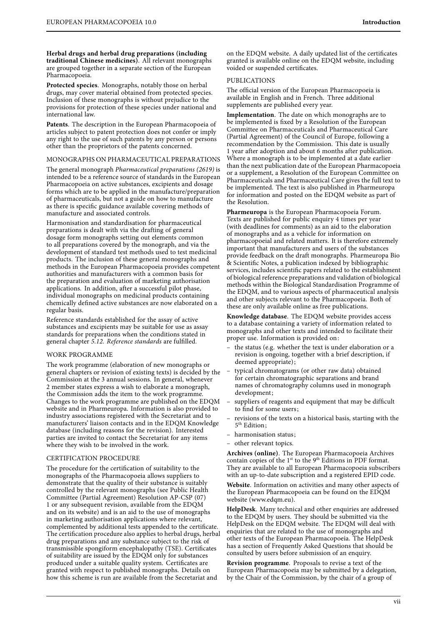**Herbal drugs and herbal drug preparations (including traditional Chinese medicines)**. All relevant monographs are grouped together in a separate section of the European Pharmacopoeia.

**Protected species**. Monographs, notably those on herbal drugs, may cover material obtained from protected species. Inclusion of these monographs is without prejudice to the provisions for protection of these species under national and international law.

**Patents**. The description in the European Pharmacopoeia of articles subject to patent protection does not confer or imply any right to the use of such patents by any person or persons other than the proprietors of the patents concerned.

## MONOGRAPHS ON PHARMACEUTICAL PREPARATIONS

The general monograph Pharmaceutical preparations (2619) is intended to be a reference source of standards in the European Pharmacopoeia on active substances, excipients and dosage forms which are to be applied in the manufacture/preparation of pharmaceuticals, but not a guide on how to manufacture as there is specific guidance available covering methods of manufacture and associated controls.

Harmonisation and standardisation for pharmaceutical preparations is dealt with via the drafting of general dosage form monographs setting out elements common to all preparations covered by the monograph, and via the development of standard test methods used to test medicinal products. The inclusion of these general monographs and methods in the European Pharmacopoeia provides competent authorities and manufacturers with a common basis for the preparation and evaluation of marketing authorisation applications. In addition, after a successful pilot phase, individual monographs on medicinal products containing chemically defined active substances are now elaborated on a regular basis.

Reference standards established for the assay of active substances and excipients may be suitable for use as assay standards for preparations when the conditions stated in general chapter 5.12. Reference standards are fulfilled.

# WORK PROGRAMME

The work programme (elaboration of new monographs or general chapters or revision of existing texts) is decided by the Commission at the 3 annual sessions. In general, whenever 2 member states express a wish to elaborate a monograph, the Commission adds the item to the work programme. Changes to the work programme are published on the EDQM website and in Pharmeuropa. Information is also provided to industry associations registered with the Secretariat and to manufacturers' liaison contacts and in the [EDQM Knowledge](http://go.edqm.eu/knowledge) [database](http://go.edqm.eu/knowledge) (including reasons for the revision). Interested parties are invited to contact the Secretariat for any items where they wish to be involved in the work.

# CERTIFICATION PROCEDURE

The procedure for the certification of suitability to the monographs of the Pharmacopoeia allows suppliers to demonstrate that the quality of their substance is suitably controlled by the relevant monographs (see Public Health Committee (Partial Agreement) Resolution AP-CSP (07) 1 or any subsequent revision, available from the EDQM and on its website) and is an aid to the use of monographs in marketing authorisation applications where relevant, complemented by additional tests appended to the certificate. The certification procedure also applies to herbal drugs, herbal drug preparations and any substance subject to the risk of transmissible spongiform encephalopathy (TSE). Certificates of suitability are issued by the EDQM only for substances produced under a suitable quality system. Certificates are granted with respect to published monographs. Details on how this scheme is run are available from the Secretariat and

on the EDQM website. A daily updated list of the certificates granted is available online on the EDQM website, including voided or suspended certificates.

## PUBLICATIONS

The official version of the European Pharmacopoeia is available in English and in French. Three additional supplements are published every year.

**Implementation**. The date on which monographs are to be implemented is fixed by a Resolution of the European Committee on Pharmaceuticals and Pharmaceutical Care (Partial Agreement) of the Council of Europe, following a recommendation by the Commission. This date is usually 1 year after adoption and about 6 months after publication. Where a monograph is to be implemented at a date earlier than the next publication date of the European Pharmacopoeia or a supplement, a Resolution of the European Committee on Pharmaceuticals and Pharmaceutical Care gives the full text to be implemented. The text is also published in Pharmeuropa for information and posted on the EDQM website as part of the Resolution.

**Pharmeuropa** is the European Pharmacopoeia Forum. Texts are published for public enquiry 4 times per year (with deadlines for comments) as an aid to the elaboration of monographs and as a vehicle for information on pharmacopoeial and related matters. It is therefore extremely important that manufacturers and users of the substances provide feedback on the draft monographs. Pharmeuropa Bio & Scientific Notes, a publication indexed by bibliographic services, includes scientific papers related to the establishment of biological reference preparations and validation of biological methods within the Biological Standardisation Programme of the EDQM, and to various aspects of pharmaceutical analysis and other subjects relevant to the Pharmacopoeia. Both of these are only available online as free publications.

**Knowledge database**. The EDQM website provides access to a database containing a variety of information related to monographs and other texts and intended to facilitate their proper use. Information is provided on:

- the status (e.g. whether the text is under elaboration or a revision is ongoing, together with a brief description, if deemed appropriate);
- typical chromatograms (or other raw data) obtained for certain chromatographic separations and brand names of chromatography columns used in monograph development;
- suppliers of reagents and equipment that may be difficult to find for some users;
- revisions of the texts on a historical basis, starting with the 5<sup>th</sup> Edition;
- harmonisation status;
- other relevant topics.

**Archives (online)**. The European Pharmacopoeia Archives contain copies of the  $1<sup>st</sup>$  to the  $9<sup>th</sup>$  Editions in PDF format. They are available to all European Pharmacopoeia subscribers with an up-to-date subscription and a registered EPID code.

**Website**. Information on activities and many other aspects of the European Pharmacopoeia can be found on the EDQM website (www.edqm.eu).

**HelpDesk**. Many technical and other enquiries are addressed to the EDQM by users. They should be submitted via the HelpDesk on the EDQM website. The EDQM will deal with enquiries that are related to the use of monographs and other texts of the European Pharmacopoeia. The HelpDesk has a section of Frequently Asked Questions that should be consulted by users before submission of an enquiry.

**Revision programme**. Proposals to revise a text of the European Pharmacopoeia may be submitted by a delegation, by the Chair of the Commission, by the chair of a group of